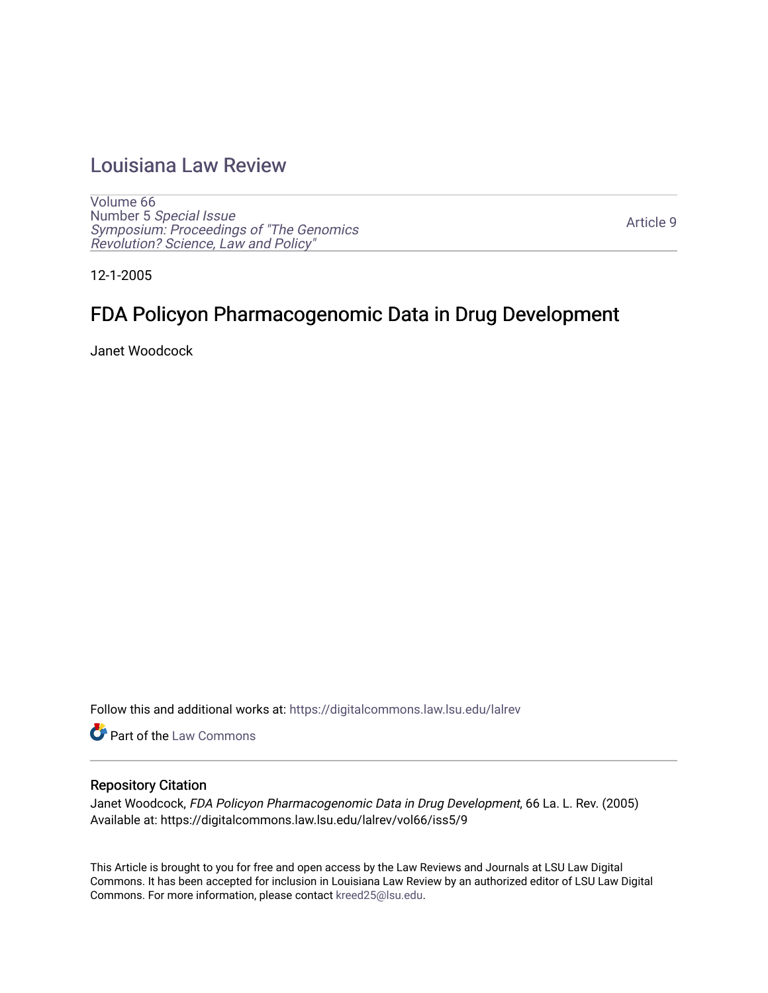# [Louisiana Law Review](https://digitalcommons.law.lsu.edu/lalrev)

[Volume 66](https://digitalcommons.law.lsu.edu/lalrev/vol66) Number 5 [Special Issue](https://digitalcommons.law.lsu.edu/lalrev/vol66/iss5) [Symposium: Proceedings of "The Genomics](https://digitalcommons.law.lsu.edu/lalrev/vol66/iss5)  [Revolution? Science, Law and Policy"](https://digitalcommons.law.lsu.edu/lalrev/vol66/iss5) 

[Article 9](https://digitalcommons.law.lsu.edu/lalrev/vol66/iss5/9) 

12-1-2005

# FDA Policyon Pharmacogenomic Data in Drug Development

Janet Woodcock

Follow this and additional works at: [https://digitalcommons.law.lsu.edu/lalrev](https://digitalcommons.law.lsu.edu/lalrev?utm_source=digitalcommons.law.lsu.edu%2Flalrev%2Fvol66%2Fiss5%2F9&utm_medium=PDF&utm_campaign=PDFCoverPages)

**Part of the [Law Commons](https://network.bepress.com/hgg/discipline/578?utm_source=digitalcommons.law.lsu.edu%2Flalrev%2Fvol66%2Fiss5%2F9&utm_medium=PDF&utm_campaign=PDFCoverPages)** 

#### Repository Citation

Janet Woodcock, FDA Policyon Pharmacogenomic Data in Drug Development, 66 La. L. Rev. (2005) Available at: https://digitalcommons.law.lsu.edu/lalrev/vol66/iss5/9

This Article is brought to you for free and open access by the Law Reviews and Journals at LSU Law Digital Commons. It has been accepted for inclusion in Louisiana Law Review by an authorized editor of LSU Law Digital Commons. For more information, please contact [kreed25@lsu.edu](mailto:kreed25@lsu.edu).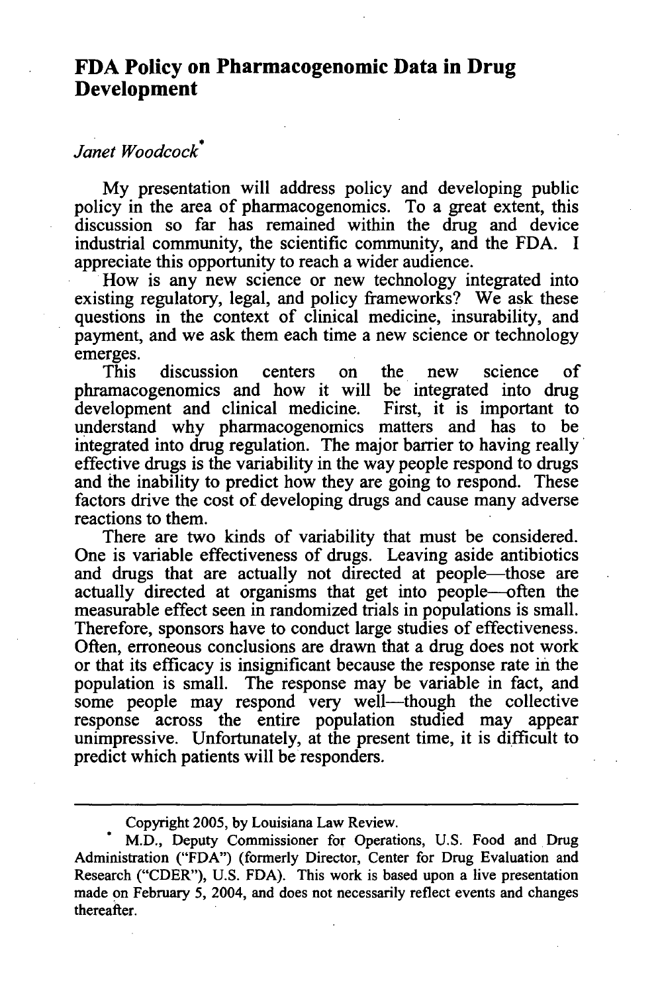### **FDA Policy on Pharmacogenomic Data in Drug Development**

## *Janet Woodcock\**

My presentation will address policy and developing public policy in the area of pharmacogenomics. To a great extent, this discussion so far has remained within the drug and device industrial community, the scientific community, and the FDA. I appreciate this opportunity to reach a wider audience.

How is any new science or new technology integrated into existing regulatory, legal, and policy frameworks? We ask these questions in the context of clinical medicine, insurability, and payment, and we ask them each time a new science or technology emerges.

This discussion centers on the new science of phramacogenomics and how it will be integrated into drug development and clinical medicine. First, it is important to understand why pharmacogenomics matters and has to be integrated into drug regulation. The major barrier to having really' effective drugs is the variability in the way people respond to drugs and the inability to predict how they are going to respond. These factors drive the cost of developing drugs and cause many adverse reactions to them.

There are two kinds of variability that must be considered. One is variable effectiveness of drugs. Leaving aside antibiotics and drugs that are actually not directed at people—those are actually directed at organisms that get into people-often the measurable effect seen in randomized trials in populations is small. Therefore, sponsors have to conduct large studies of effectiveness. Often, erroneous conclusions are drawn that a drug does not work or that its efficacy is insignificant because the response rate in the population is small. The response may be variable in fact, and some people may respond very well—though the collective response across the entire population studied may appear unimpressive. Unfortunately, at the present time, it is difficult to predict which patients will be responders.

Copyright 2005, by Louisiana Law Review.

M.D., Deputy Commissioner for Operations, U.S. Food and Drug Administration ("FDA") (formerly Director, Center for Drug Evaluation and Research ("CDER"), U.S. FDA). This work is based upon a live presentation made on February 5, 2004, and does not necessarily reflect events and changes thereafter.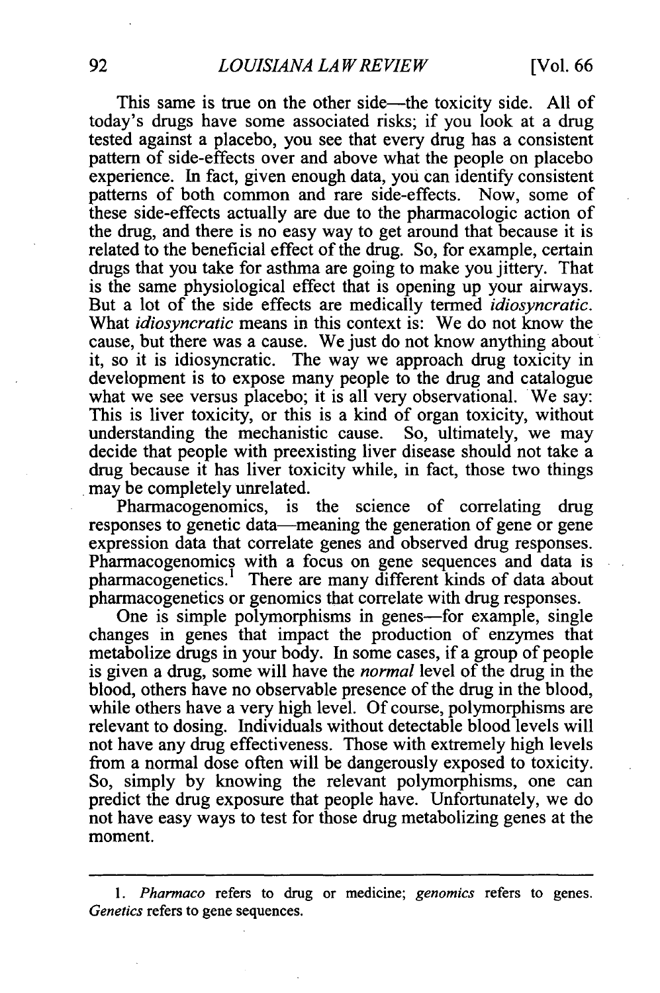This same is true on the other side—the toxicity side. All of today's drugs have some associated risks; if you look at a drug tested against a placebo, you see that every drug has a consistent pattern of side-effects over and above what the people on placebo experience. In fact, given enough data, you can identify consistent patterns of both common and rare side-effects. Now, some of these side-effects actually are due to the pharmacologic action of the drug, and there is no easy way to get around that because it is related to the beneficial effect of the drug. So, for example, certain drugs that you take for asthma are going to make you jittery. That is the same physiological effect that is opening up your airways. But a lot of the side effects are medically termed *idiosyncratic.*  What *idiosyncratic* means in this context is: We do not know the cause, but there was a cause. We just do not know anything about it, so it is idiosyncratic. The way we approach drug toxicity in development is to expose many people to the drug and catalogue what we see versus placebo; it is all very observational. We say: This is liver toxicity, or this is a kind of organ toxicity, without understanding the mechanistic cause. So, ultimately, we may understanding the mechanistic cause. decide that people with preexisting liver disease should not take a drug because it has liver toxicity while, in fact, those two things may be completely unrelated.

Pharmacogenomics, is the science of correlating drug responses to genetic data—meaning the generation of gene or gene expression data that correlate genes and observed drug responses. Pharmacogenomics with a focus on gene sequences and data is pharmacogenetics.<sup>1</sup> There are many different kinds of data about pharmacogenetics or genomics that correlate with drug responses.

One is simple polymorphisms in genes—for example, single changes in genes that impact the production of enzymes that metabolize drugs in your body. In some cases, if a group of people is given a drug, some will have the *normal* level of the drug in the blood, others have no observable presence of the drug in the blood, while others have a very high level. Of course, polymorphisms are relevant to dosing. Individuals without detectable blood levels will not have any drug effectiveness. Those with extremely high levels from a normal dose often will be dangerously exposed to toxicity. So, simply by knowing the relevant polymorphisms, one can predict the drug exposure that people have. Unfortunately, we do not have easy ways to test for those drug metabolizing genes at the moment.

<sup>1.</sup> *Pharinaco* refers to drug or medicine; *genomics* refers to genes. *Genetics* refers to gene sequences.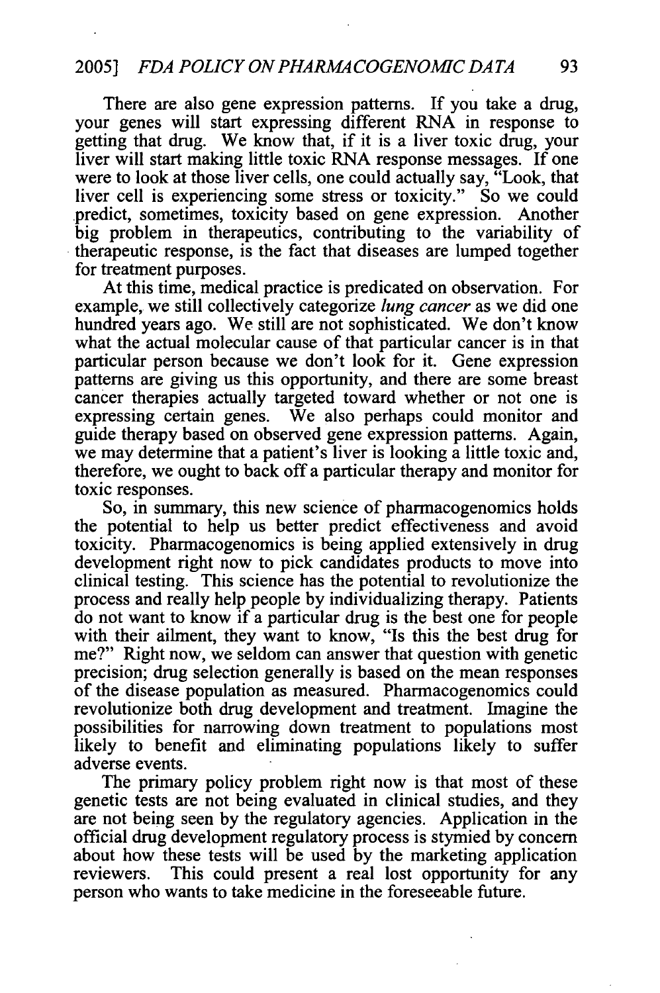There are also gene expression patterns. If you take a drug, your genes will start expressing different RNA in response to getting that drug. We know that, if it is a liver toxic drug, your liver will start making little toxic RNA response messages. If one were to look at those liver cells, one could actually say, "Look, that liver cell is experiencing some stress or toxicity." So we could predict, sometimes, toxicity based on gene expression. Another big problem in therapeutics, contributing to the variability of therapeutic response, is the fact that diseases are lumped together for treatment purposes.

At this time, medical practice is predicated on observation. For example, we still collectively categorize *lung cancer*as we did one hundred years ago. We still are not sophisticated. We don't know what the actual molecular cause of that particular cancer is in that particular person because we don't look for it. Gene expression patterns are giving us this opportunity, and there are some breast cancer therapies actually targeted toward whether or not one is expressing certain genes. We also perhaps could monitor and guide therapy based on observed gene expression patterns. Again, we may determine that a patient's liver is looking a little toxic and, therefore, we ought to back off a particular therapy and monitor for toxic responses.

So, in summary, this new science of pharmacogenomics holds the potential to help us better predict effectiveness and avoid toxicity. Pharmacogenomics is being applied extensively in drug development right now to pick candidates products to move into clinical testing. This science has the potential to revolutionize the process and really help people by individualizing therapy. Patients do not want to know if a particular drug is the best one for people with their ailment, they want to know, "Is this the best drug for me?" Right now, we seldom can answer that question with genetic precision; drug selection generally is based on the mean responses of the disease population as measured. Pharmacogenomics could revolutionize both drug development and treatment. Imagine the possibilities for narrowing down treatment to populations most likely to benefit and eliminating populations likely to suffer adverse events.

The primary policy problem right now is that most of these genetic tests are not being evaluated in clinical studies, and they are not being seen by the regulatory agencies. Application in the official drug development regulatory process is stymied by concern about how these tests will be used by the marketing application reviewers. This could present a real lost opportunity for any person who wants to take medicine in the foreseeable future.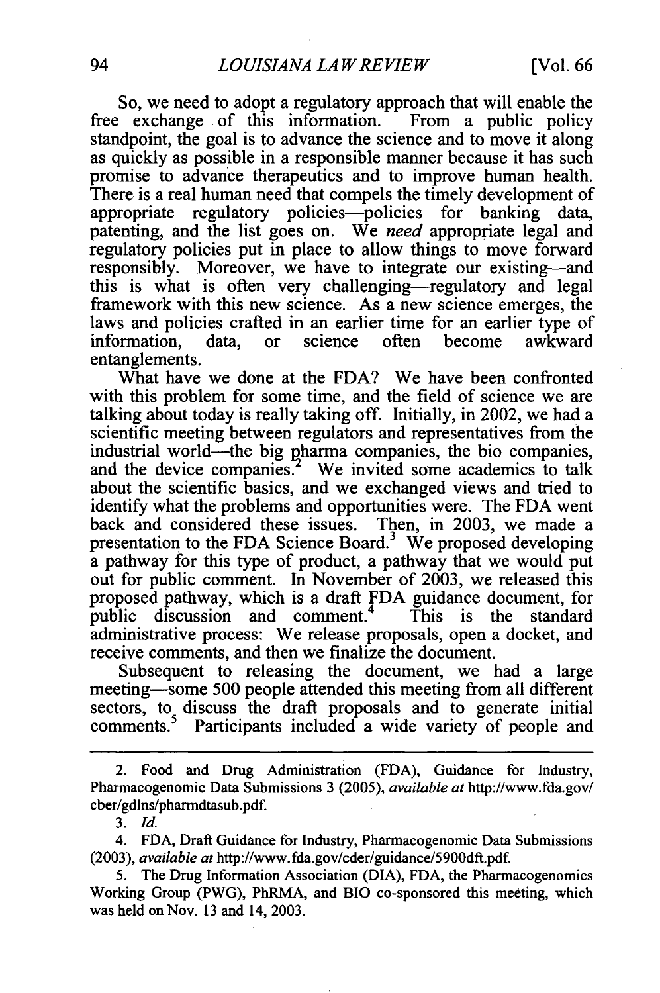So, we need to adopt a regulatory approach that will enable the free exchange of this information. From a public policy standpoint, the goal is to advance the science and to move it along as quickly as possible in a responsible manner because it has such promise to advance therapeutics and to improve human health. There is a real human need that compels the timely development of appropriate regulatory policies-policies for banking data, patenting, and the list goes on. We *need* appropriate legal and regulatory policies put in place to allow things to move forward responsibly. Moreover, we have to integrate our existing-and this is what is often very challenging-regulatory and legal framework with this new science. As a new science emerges, the laws and policies crafted in an earlier time for an earlier type of information. data, or science often become awkward information, data, or science often entanglements.

What have we done at the FDA? We have been confronted with this problem for some time, and the field of science we are talking about today is really taking off. Initially, in 2002, we had a scientific meeting between regulators and representatives from the industrial world—the big pharma companies, the bio companies, and the device companies.<sup>2</sup> We invited some academics to talk about the scientific basics, and we exchanged views and tried to identify what the problems and opportunities were. The FDA went back and considered these issues. Then, in 2003, we made a presentation to the FDA Science Board. $3$  We proposed developing a pathway for this type of product, a pathway that we would put out for public comment. In November of 2003, we released this proposed pathway, which is a draft FDA guidance document, for public discussion and comment.<sup>4</sup> This is the standard public discussion and comment.<sup>4</sup> administrative process: We release proposals, open a docket, and receive comments, and then we finalize the document.

Subsequent to releasing the document, we had a large meeting-some 500 people attended this meeting from all different sectors, to discuss the draft proposals and to generate initial comments.<sup>5</sup> Participants included a wide variety of people and

*3. Id.* 

<sup>2.</sup> Food and Drug Administration (FDA), Guidance for Industry, Pharmacogenomic Data Submissions 3 (2005), *availableat* [http://www.fda.gov/](http://www.fda.gov) cber/gdlns/pharmdtasub.pdf.

<sup>4.</sup> FDA, Draft Guidance for Industry, Pharmacogenomic Data Submissions (2003), *availableat* [http://www.fda.gov/cder/guidance/5900dft.pdf.](http://www.fda.gov/cder/guidance/5900dft.pdf)

<sup>5.</sup> The Drug Information Association (DIA), FDA, the Pharmacogenomics Working Group (PWG), PhRMA, and BIO co-sponsored this meeting, which was held on Nov. 13 and 14, 2003.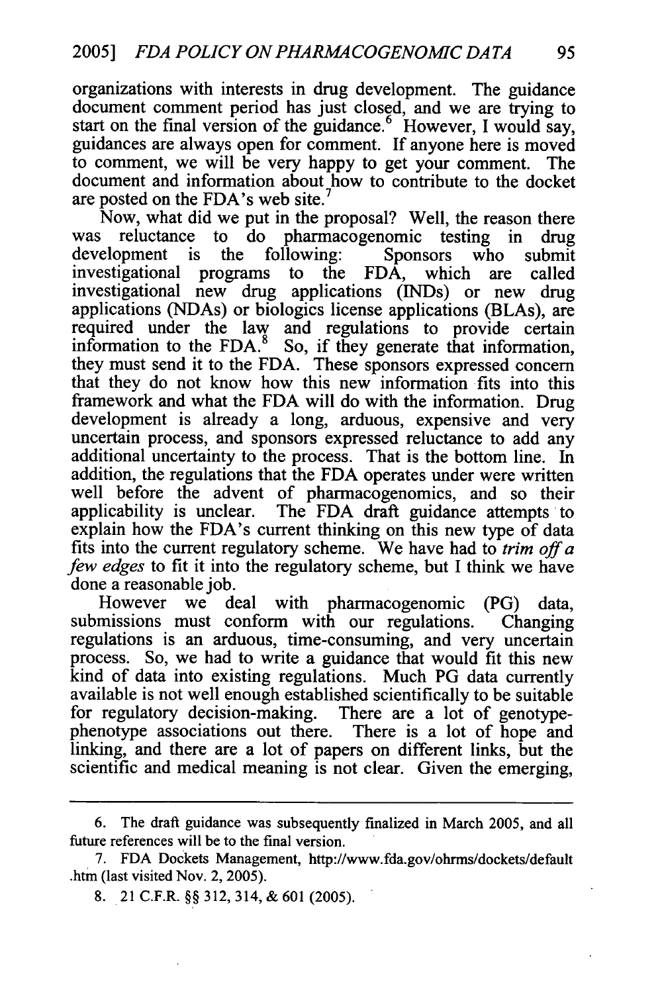organizations with interests in drug development. The guidance document comment period has just closed, and we are trying to start on the final version of the guidance.<sup>6</sup> However, I would say, guidances are always open for comment. If anyone here is moved to comment, we will be very happy to get your comment. The document and information about how to contribute to the docket are posted on the FDA's web site.

Now, what did we put in the proposal? Well, the reason there was reluctance to do pharmacogenomic testing in drug development is the following: Sponsors who submit<br>investigational programs to the FDA, which are called investigational programs to the FDA, which are called investigational new drug applications (INDs) or new drug applications (NDAs) or biologics license applications (BLAs), are required under the law and regulations to provide certain information to the  $FDA$ .<sup>8</sup> So, if they generate that information, they must send it to the FDA. These sponsors expressed concern that they do not know how this new information fits into this framework and what the FDA will do with the information. Drug development is already a long, arduous, expensive and very uncertain process, and sponsors expressed reluctance to add any additional uncertainty to the process. That is the bottom line. In addition, the regulations that the FDA operates under were written well before the advent of pharmacogenomics, and so their applicability is unclear. The FDA draft guidance attempts to explain how the FDA's current thinking on this new type of data fits into the current regulatory scheme. We have had to *trim off a*  few *edges* to fit it into the regulatory scheme, but I think we have done a reasonable job.

However we deal with pharmacogenomic (PG) data, submissions must conform with our regulations. Changing submissions must conform with our regulations. Changing regulations is an arduous, time-consuming, and very uncertain process. So, we had to write a guidance that would fit this new kind of data into existing regulations. Much PG data currently available is not well enough established scientifically to be suitable for regulatory decision-making. There are a lot of genotypephenotype associations out there. There is a lot of hope and linking, and there are a lot of papers on different links, but the scientific and medical meaning is not clear. Given the emerging,

<sup>6.</sup> The draft guidance was subsequently finalized in March 2005, and all future references will be to the final version.

<sup>7.</sup> FDA Dockets Management, <http://www.fda.gov/ohrms/dockets/default> .htm (last visited Nov. 2, 2005).

<sup>8. 21</sup> C.F.R. §§ 312, 314, & 601 (2005).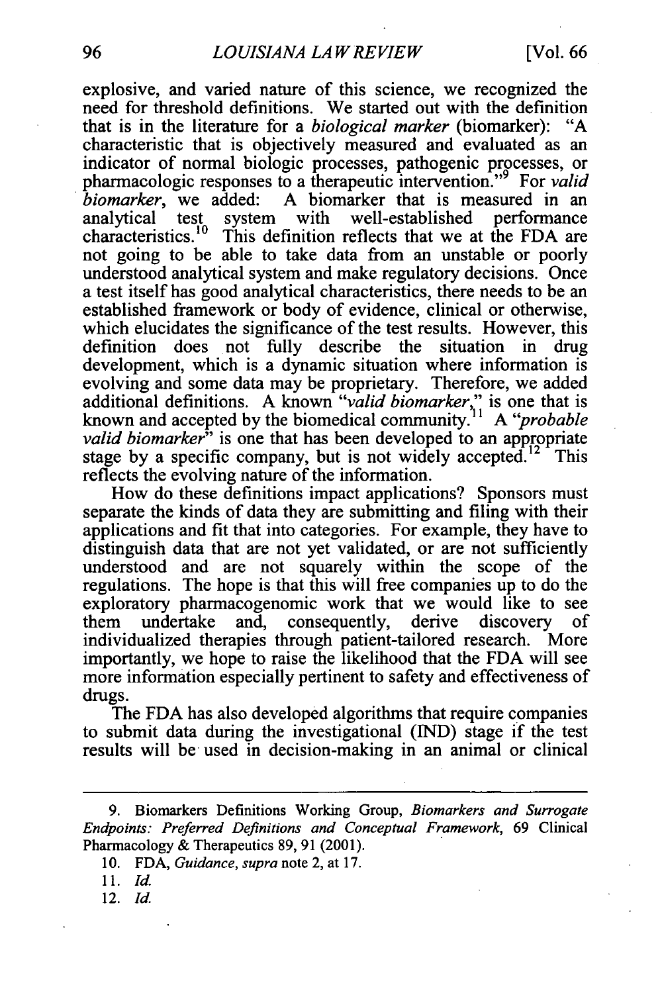explosive, and varied nature of this science, we recognized the need for threshold definitions. We started out with the definition that is in the literature for a *biological marker* (biomarker): "A characteristic that is objectively measured and evaluated as an indicator of normal biologic processes, pathogenic processes, or pharmacologic responses to a therapeutic intervention."<sup>9</sup> For *valid biomarker*, we added: A biomarker that is measured in an analytical test system with well-established performance characteristics.<sup>10</sup> This definition reflects that we at the FDA are system with well-established This definition reflects that we at the FDA are not going to be able to take data from an unstable or poorly understood analytical system and make regulatory decisions. Once a test itself has good analytical characteristics, there needs to be an established framework or body of evidence, clinical or otherwise, which elucidates the significance of the test results. However, this definition does not fully describe the situation in drug development, which is a dynamic situation where information is evolving and some data may be proprietary. Therefore, we added additional definitions. A known "valid biomarker," is one that is known and accepted by the biomedical community.<sup>11</sup> A "*probable* known and accepted by the biomedical community.<sup>1</sup> *valid biomarker*<sup>3</sup> is one that has been developed to an appropriate stage by a specific company, but is not widely accepted.<sup>12</sup> This reflects the evolving nature of the information.

How do these definitions impact applications? Sponsors must separate the kinds of data they are submitting and filing with their applications and fit that into categories. For example, they have to distinguish data that are not yet validated, or are not sufficiently understood and are not squarely within the scope of the regulations. The hope is that this will free companies up to do the exploratory pharmacogenomic work that we would like to see them undertake and, consequently, derive discovery of individualized therapies through patient-tailored research. More importantly, we hope to raise the likelihood that the FDA will see more information especially pertinent to safety and effectiveness of drugs.

The FDA has also developed algorithms that require companies to submit data during the investigational (IND) stage if the test results will be used in decision-making in an animal or clinical

<sup>9.</sup> Biomarkers Definitions Working Group, *Biomarkers and Surrogate Endpoints: Preferred Definitions and Conceptual Framework,* 69 Clinical Pharmacology & Therapeutics 89, 91 (2001).

<sup>10.</sup> FDA, *Guidance*, *supra* note 2, at 17.

<sup>11.</sup> Id.

<sup>12.</sup> Id.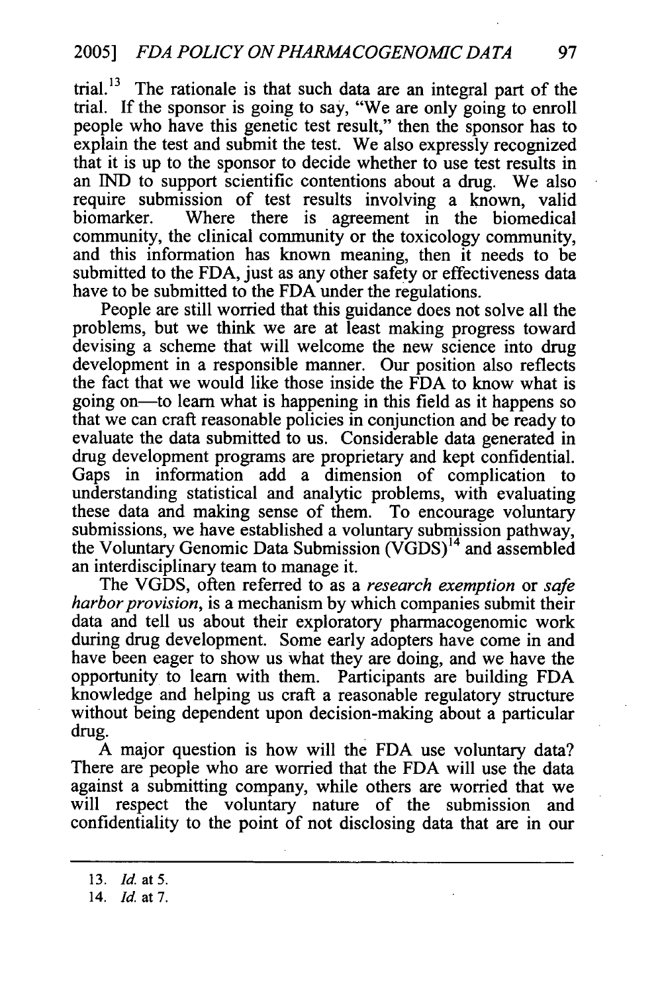trial.<sup>13</sup> The rationale is that such data are an integral part of the trial. If the sponsor is going to say, "We are only going to enroll people who have this genetic test result," then the sponsor has to explain the test and submit the test. We also expressly recognized that it is up to the sponsor to decide whether to use test results in an IND to support scientific contentions about a drug. We also require submission of test results involving a known, valid biomarker. Where there is agreement in the biomedical community, the clinical community or the toxicology community, and this information has known meaning, then it needs to be submitted to the FDA, just as any other safety or effectiveness data have to be submitted to the FDA under the regulations.

People are still worried that this guidance does not solve all the problems, but we think we are at least making progress toward devising a scheme that will welcome the new science into drug development in a responsible manner. Our position also reflects the fact that we would like those inside the FDA to know what is going on-to learn what is happening in this field as it happens so that we can craft reasonable policies in conjunction and be ready to evaluate the data submitted to us. Considerable data generated in drug development programs are proprietary and kept confidential. Gaps in information add a dimension of complication to understanding statistical and analytic problems, with evaluating these data and making sense of them. To encourage voluntary submissions, we have established a voluntary submission pathway, the Voluntary Genomic Data Submission (VGDS) 14 and assembled an interdisciplinary team to manage it.

The VGDS, often referred to as a *research exemption* or *safe harbor provision*, is a mechanism by which companies submit their data and tell us about their exploratory pharmacogenomic work during drug development. Some early adopters have come in and have been eager to show us what they are doing, and we have the opportunity to learn with them. Participants are building FDA knowledge and helping us craft a reasonable regulatory structure without being dependent upon decision-making about a particular drug.

A major question is how will the FDA use voluntary data? There are people who are worried that the FDA will use the data against a submitting company, while others are worried that we will respect the voluntary nature of the submission and confidentiality to the point of not disclosing data that are in our

**<sup>13.</sup>** *Id. at* **5.** 

<sup>14.</sup> *Id.* at 7.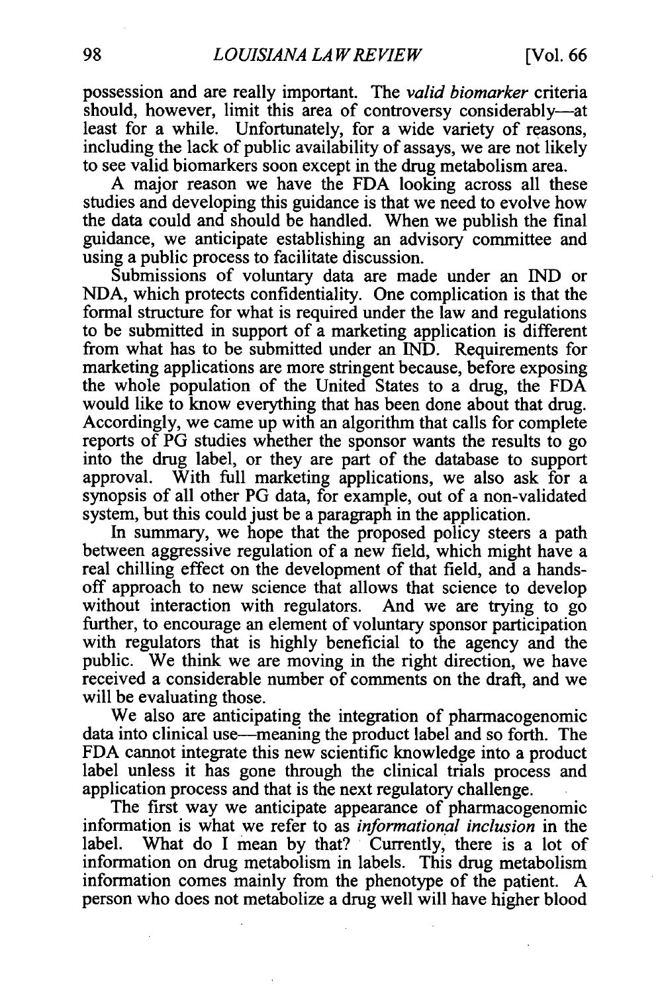possession and are really important. The *valid biomarker* criteria should, however, limit this area of controversy considerably-at least for a while. Unfortunately, for a wide variety of reasons, including the lack of public availability of assays, we are not likely to see valid biomarkers soon except in the drug metabolism area.

A major reason we have the FDA looking across all these studies and developing this guidance is that we need to evolve how the data could and should be handled. When we publish the final guidance, we anticipate establishing an advisory committee and using a public process to facilitate discussion.

Submissions of voluntary data are made under an **IND** or NDA, which protects confidentiality. One complication is that the formal structure for what is required under the law and regulations to be submitted in support of a marketing application is different from what has to be submitted under an IND. Requirements for marketing applications are more stringent because, before exposing the whole population of the United States to a drug, the FDA would like to know everything that has been done about that drug. Accordingly, we came up with an algorithm that calls for complete reports of PG studies whether the sponsor wants the results to go into the drug label, or they are part of the database to support approval. With full marketing applications, we also ask for a synopsis of all other PG data, for example, out of a non-validated system, but this could just be a paragraph in the application.

In summary, we hope that the proposed policy steers a path between aggressive regulation of a new field, which might have a real chilling effect on the development of that field, and a handsoff approach to new science that allows that science to develop without interaction with regulators. And we are trying to go further, to encourage an element of voluntary sponsor participation with regulators that is highly beneficial to the agency and the public. We think we are moving in the right direction, we have received a considerable number of comments on the draft, and we will be evaluating those.

We also are anticipating the integration of pharmacogenomic data into clinical use—meaning the product label and so forth. The FDA cannot integrate this new scientific knowledge into a product label unless it has gone through the clinical trials process and application process and that is the next regulatory challenge.

The first way we anticipate appearance of pharmacogenomic information is what we refer to as *informational inclusion* in the label. What do I mean by that? Currently, there is a lot of information on drug metabolism in labels. This drug metabolism information comes mainly from the phenotype of the patient. A person who does not metabolize a drug well will have higher blood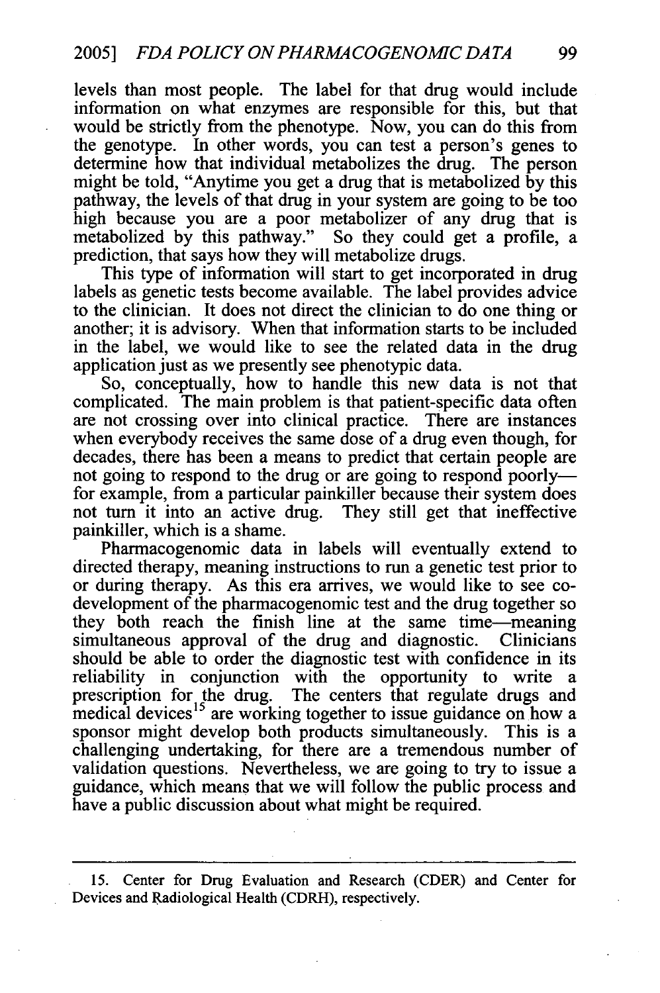levels than most people. The label for that drug would include information on what enzymes are responsible for this, but that would be strictly from the phenotype. Now, you can do this from the genotype. In other words, you can test a person's genes to determine how that individual metabolizes the drug. The person might be told, "Anytime you get a drug that is metabolized by this pathway, the levels of that drug in your system are going to be too high because you are a poor metabolizer of any drug that is metabolized by this pathway." So they could get a profile, a prediction, that says how they will metabolize drugs.

This type of information will start to get incorporated in drug labels as genetic tests become available. The label provides advice to the clinician. It does not direct the clinician to do one thing or another; it is advisory. When that information starts to be included in the label, we would like to see the related data in the drug application just as we presently see phenotypic data.

So, conceptually, how to handle this new data is not that complicated. The main problem is that patient-specific data often are not crossing over into clinical practice. There are instances when everybody receives the same dose of a drug even though, for decades, there has been a means to predict that certain people are not going to respond to the drug or are going to respond poorly for example, from a particular painkiller because their system does not turn it into an active drug. They still get that ineffective painkiller, which is a shame.

Pharmacogenomic data in labels will eventually extend to directed therapy, meaning instructions to run a genetic test prior to or during therapy. As this era arrives, we would like to see codevelopment of the pharmacogenomic test and the drug together so they both reach the finish line at the same time-meaning simultaneous approval of the drug and diagnostic. Clinicians should be able to order the diagnostic test with confidence in its reliability in conjunction with the opportunity to write a prescription for the drug. The centers that regulate drugs and medical devices<sup>15</sup> are working together to issue guidance on how a sponsor might develop both products simultaneously. This is a challenging undertaking, for there are a tremendous number of validation questions. Nevertheless, we are going to try to issue a guidance, which means that we will follow the public process and have a public discussion about what might be required.

<sup>15.</sup> Center for Drug Evaluation and Research (CDER) and Center for Devices and Radiological Health (CDRH), respectively.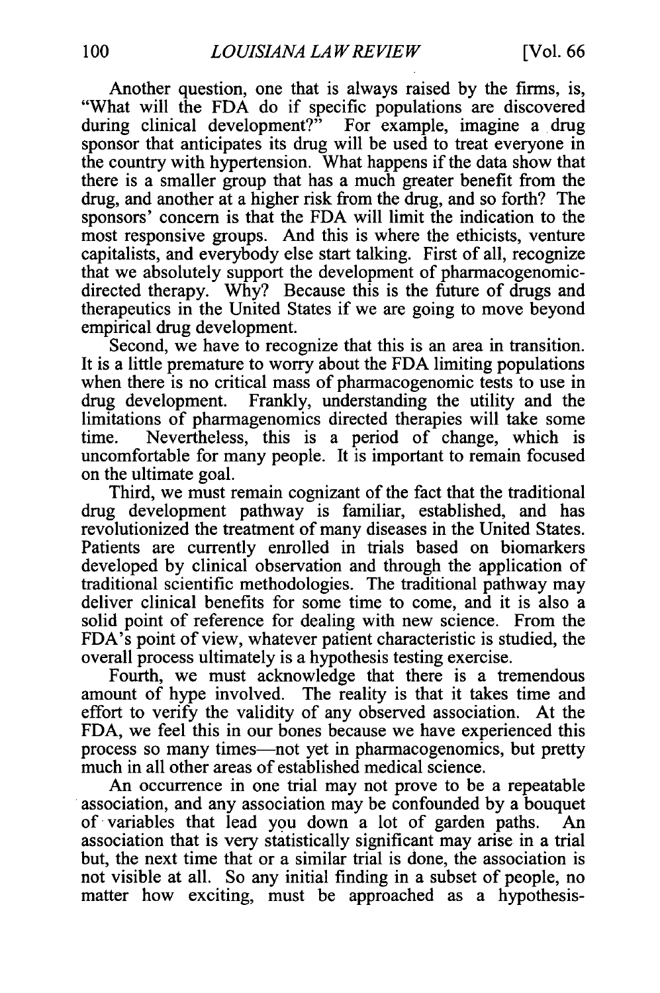Another question, one that is always raised by the firms, is, "What will the FDA do if specific populations are discovered during clinical development?" For example, imagine a drug sponsor that anticipates its drug will be used to treat everyone in the country with hypertension. What happens if the data show that there is a smaller group that has a much greater benefit from the drug, and another at a higher risk from the drug, and so forth? The sponsors' concern is that the FDA will limit the indication to the most responsive groups. And this is where the ethicists, venture capitalists, and everybody else start talking. First of all, recognize that we absolutely support the development of pharmacogenomicdirected therapy. Why? Because this is the future of drugs and therapeutics in the United States if we are going to move beyond empirical drug development.

Second, we have to recognize that this is an area in transition. It is a little premature to worry about the FDA limiting populations when there is no critical mass of pharmacogenomic tests to use in drug development. Frankly, understanding the utility and the limitations of pharmagenomics directed therapies will take some time. Nevertheless, this is a period of change, which is uncomfortable for many people. It is important to remain focused on the ultimate goal.

Third, we must remain cognizant of the fact that the traditional drug development pathway is familiar, established, and has revolutionized the treatment of many diseases in the United States. Patients are currently enrolled in trials based on biomarkers developed by clinical observation and through the application of traditional scientific methodologies. The traditional pathway may deliver clinical benefits for some time to come, and it is also a solid point of reference for dealing with new science. From the FDA's point of view, whatever patient characteristic is studied, the overall process ultimately is a hypothesis testing exercise.

Fourth, we must acknowledge that there is a tremendous amount of hype involved. The reality is that it takes time and effort to verify the validity of any observed association. At the FDA, we feel this in our bones because we have experienced this process so many times—not yet in pharmacogenomics, but pretty much in all other areas of established medical science.

An occurrence in one trial may not prove to be a repeatable association, and any association may be confounded by a bouquet of variables that lead you down a lot of garden paths. An association that is very statistically significant may arise in a trial but, the next time that or a similar trial is done, the association is not visible at all. So any initial finding in a subset of people, no matter how exciting, must be approached as a hypothesis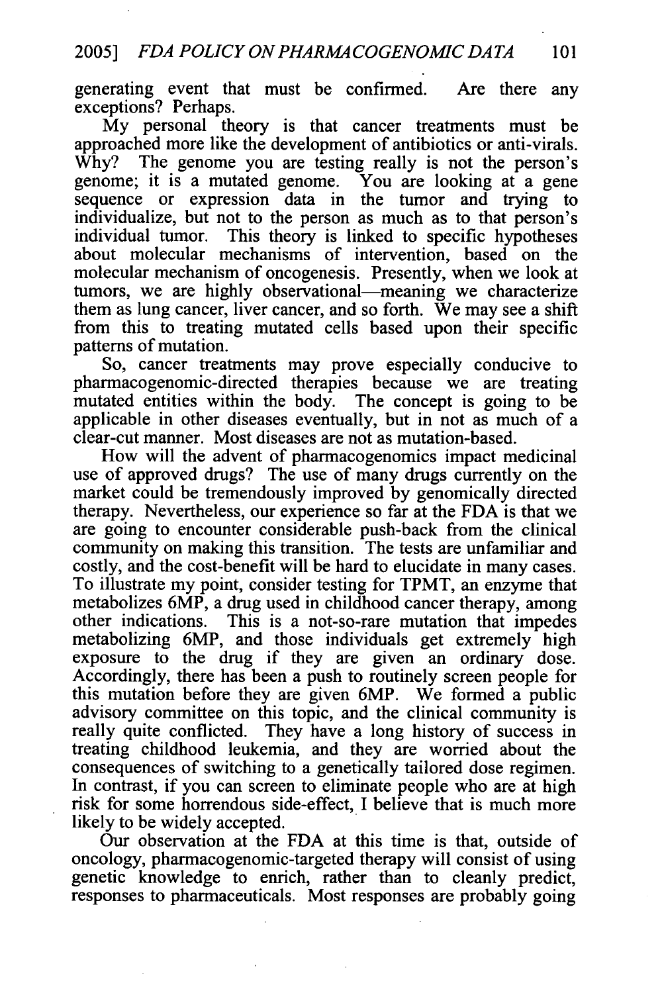generating event that must be confirmed. Are there any exceptions? Perhaps.

My personal theory is that cancer treatments must be approached more like the development of antibiotics or anti-virals. Why? The genome you are testing really is not the person's genome; it is a mutated genome. You are looking at a gene sequence or expression data in the tumor and trying to individualize, but not to the person as much as to that person's individual tumor. This theory is linked to specific hypotheses about molecular mechanisms of intervention, based on the molecular mechanism of oncogenesis. Presently, when we look at tumors, we are highly observational-meaning we characterize them as lung cancer, liver cancer, and so forth. We may see a shift from this to treating mutated cells based upon their specific patterns of mutation.

So, cancer treatments may prove especially conducive to pharmacogenomic-directed therapies because we are treating mutated entities within the body. The concept is going to be applicable in other diseases eventually, but in not as much of a clear-cut manner. Most diseases are not as mutation-based.

How will the advent of pharmacogenomics impact medicinal use of approved drugs? The use of many drugs currently on the market could be tremendously improved by genomically directed therapy. Nevertheless, our experience so far at the FDA is that we are going to encounter considerable push-back from the clinical community on making this transition. The tests are unfamiliar and costly, and the cost-benefit will be hard to elucidate in many cases. To illustrate my point, consider testing for TPMT, an enzyme that metabolizes 6MP, a drug used in childhood cancer therapy, among other indications. This is a not-so-rare mutation that impedes metabolizing 6MP, and those individuals get extremely high exposure to the drug if they are given an ordinary dose. Accordingly, there has been a push to routinely screen people for this mutation before they are given 6MP. We formed a public advisory committee on this topic, and the clinical community is really quite conflicted. They have a long history of success in treating childhood leukemia, and they are worried about the consequences of switching to a genetically tailored dose regimen. In contrast, if you can screen to eliminate people who are at high risk for some horrendous side-effect, I believe that is much more likely to be widely accepted.

Our observation at the FDA at this time is that, outside of oncology, pharmacogenomic-targeted therapy will consist of using genetic knowledge to enrich, rather than to cleanly predict, responses to pharmaceuticals. Most responses are probably going